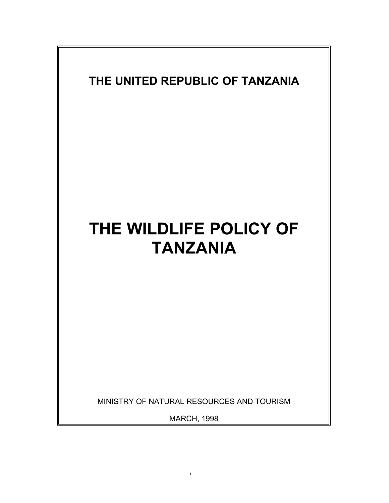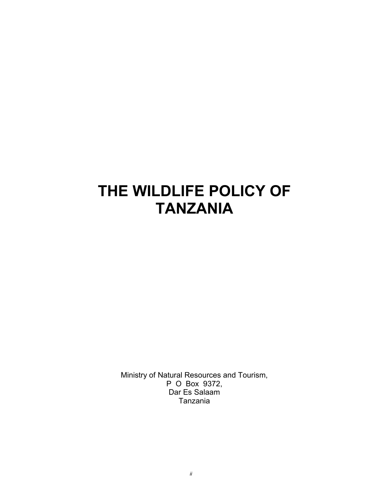# **THE WILDLIFE POLICY OF TANZANIA**

Ministry of Natural Resources and Tourism, P O Box 9372, Dar Es Salaam Tanzania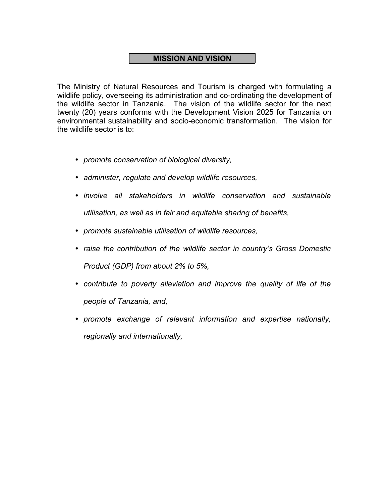#### **MISSION AND VISION**

The Ministry of Natural Resources and Tourism is charged with formulating a wildlife policy, overseeing its administration and co-ordinating the development of the wildlife sector in Tanzania. The vision of the wildlife sector for the next twenty (20) years conforms with the Development Vision 2025 for Tanzania on environmental sustainability and socio-economic transformation. The vision for the wildlife sector is to:

- *promote conservation of biological diversity,*
- *administer, regulate and develop wildlife resources,*
- *involve all stakeholders in wildlife conservation and sustainable utilisation, as well as in fair and equitable sharing of benefits,*
- *promote sustainable utilisation of wildlife resources,*
- *raise the contribution of the wildlife sector in country's Gross Domestic Product (GDP) from about 2% to 5%,*
- *contribute to poverty alleviation and improve the quality of life of the people of Tanzania, and,*
- *promote exchange of relevant information and expertise nationally, regionally and internationally,*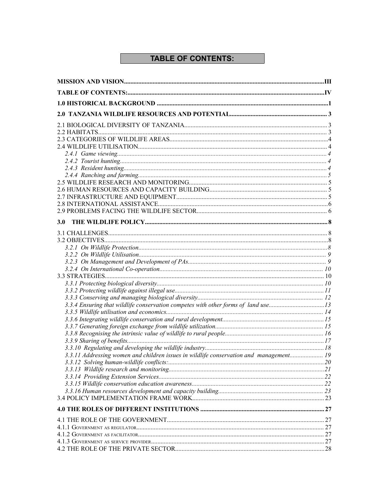### **TABLE OF CONTENTS:**

| <b>3.0</b>                                                                             |  |
|----------------------------------------------------------------------------------------|--|
|                                                                                        |  |
|                                                                                        |  |
|                                                                                        |  |
|                                                                                        |  |
|                                                                                        |  |
|                                                                                        |  |
|                                                                                        |  |
|                                                                                        |  |
|                                                                                        |  |
|                                                                                        |  |
| 3.3.4 Ensuring that wildlife conservation competes with other forms of land use13      |  |
|                                                                                        |  |
|                                                                                        |  |
|                                                                                        |  |
|                                                                                        |  |
|                                                                                        |  |
|                                                                                        |  |
| 3.3.11 Addressing women and children issues in wildlife conservation and management 19 |  |
|                                                                                        |  |
|                                                                                        |  |
|                                                                                        |  |
|                                                                                        |  |
|                                                                                        |  |
|                                                                                        |  |
|                                                                                        |  |
|                                                                                        |  |
|                                                                                        |  |
|                                                                                        |  |
|                                                                                        |  |
|                                                                                        |  |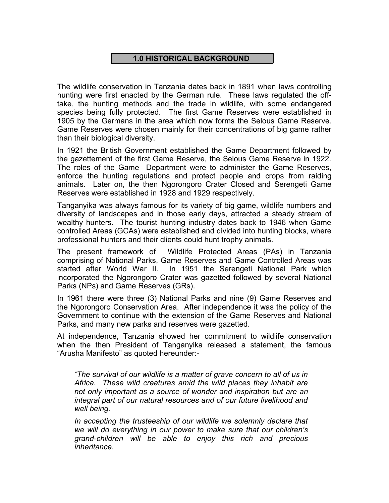#### **1.0 HISTORICAL BACKGROUND**

The wildlife conservation in Tanzania dates back in 1891 when laws controlling hunting were first enacted by the German rule. These laws regulated the offtake, the hunting methods and the trade in wildlife, with some endangered species being fully protected. The first Game Reserves were established in 1905 by the Germans in the area which now forms the Selous Game Reserve. Game Reserves were chosen mainly for their concentrations of big game rather than their biological diversity.

In 1921 the British Government established the Game Department followed by the gazettement of the first Game Reserve, the Selous Game Reserve in 1922. The roles of the Game Department were to administer the Game Reserves, enforce the hunting regulations and protect people and crops from raiding animals. Later on, the then Ngorongoro Crater Closed and Serengeti Game Reserves were established in 1928 and 1929 respectively.

Tanganyika was always famous for its variety of big game, wildlife numbers and diversity of landscapes and in those early days, attracted a steady stream of wealthy hunters. The tourist hunting industry dates back to 1946 when Game controlled Areas (GCAs) were established and divided into hunting blocks, where professional hunters and their clients could hunt trophy animals.

The present framework of Wildlife Protected Areas (PAs) in Tanzania comprising of National Parks, Game Reserves and Game Controlled Areas was started after World War II. In 1951 the Serengeti National Park which incorporated the Ngorongoro Crater was gazetted followed by several National Parks (NPs) and Game Reserves (GRs).

In 1961 there were three (3) National Parks and nine (9) Game Reserves and the Ngorongoro Conservation Area. After independence it was the policy of the Government to continue with the extension of the Game Reserves and National Parks, and many new parks and reserves were gazetted.

At independence, Tanzania showed her commitment to wildlife conservation when the then President of Tanganyika released a statement, the famous "Arusha Manifesto" as quoted hereunder:-

*"The survival of our wildlife is a matter of grave concern to all of us in Africa. These wild creatures amid the wild places they inhabit are not only important as a source of wonder and inspiration but are an integral part of our natural resources and of our future livelihood and well being.*

*In accepting the trusteeship of our wildlife we solemnly declare that we will do everything in our power to make sure that our children's grand-children will be able to enjoy this rich and precious inheritance.*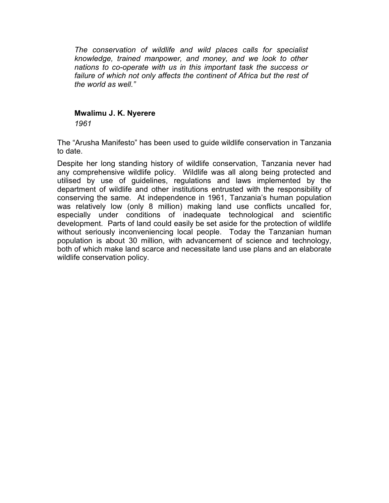*The conservation of wildlife and wild places calls for specialist knowledge, trained manpower, and money, and we look to other nations to co-operate with us in this important task the success or failure of which not only affects the continent of Africa but the rest of the world as well."*

#### **Mwalimu J. K. Nyerere**

*1961*

The "Arusha Manifesto" has been used to guide wildlife conservation in Tanzania to date.

Despite her long standing history of wildlife conservation, Tanzania never had any comprehensive wildlife policy. Wildlife was all along being protected and utilised by use of guidelines, regulations and laws implemented by the department of wildlife and other institutions entrusted with the responsibility of conserving the same. At independence in 1961, Tanzania's human population was relatively low (only 8 million) making land use conflicts uncalled for, especially under conditions of inadequate technological and scientific development. Parts of land could easily be set aside for the protection of wildlife without seriously inconveniencing local people. Today the Tanzanian human population is about 30 million, with advancement of science and technology, both of which make land scarce and necessitate land use plans and an elaborate wildlife conservation policy.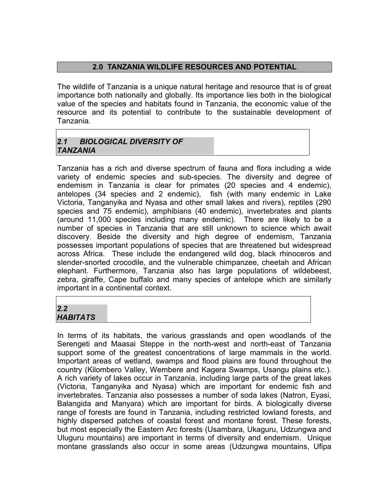#### **2.0 TANZANIA WILDLIFE RESOURCES AND POTENTIAL**

The wildlife of Tanzania is a unique natural heritage and resource that is of great importance both nationally and globally. Its importance lies both in the biological value of the species and habitats found in Tanzania, the economic value of the resource and its potential to contribute to the sustainable development of Tanzania.

#### *2.1 BIOLOGICAL DIVERSITY OF TANZANIA*

Tanzania has a rich and diverse spectrum of fauna and flora including a wide variety of endemic species and sub-species. The diversity and degree of endemism in Tanzania is clear for primates (20 species and 4 endemic), antelopes (34 species and 2 endemic), fish (with many endemic in Lake Victoria, Tanganyika and Nyasa and other small lakes and rivers), reptiles (290 species and 75 endemic), amphibians (40 endemic), invertebrates and plants (around 11,000 species including many endemic). There are likely to be a number of species in Tanzania that are still unknown to science which await discovery. Beside the diversity and high degree of endemism, Tanzania possesses important populations of species that are threatened but widespread across Africa. These include the endangered wild dog, black rhinoceros and slender-snorted crocodile, and the vulnerable chimpanzee, cheetah and African elephant. Furthermore, Tanzania also has large populations of wildebeest, zebra, giraffe, Cape buffalo and many species of antelope which are similarly important in a continental context.

#### *2.2 HABITATS*

In terms of its habitats, the various grasslands and open woodlands of the Serengeti and Maasai Steppe in the north-west and north-east of Tanzania support some of the greatest concentrations of large mammals in the world. Important areas of wetland, swamps and flood plains are found throughout the country (Kilombero Valley, Wembere and Kagera Swamps, Usangu plains etc.). A rich variety of lakes occur in Tanzania, including large parts of the great lakes (Victoria, Tanganyika and Nyasa) which are important for endemic fish and invertebrates. Tanzania also possesses a number of soda lakes (Natron, Eyasi, Balangida and Manyara) which are important for birds. A biologically diverse range of forests are found in Tanzania, including restricted lowland forests, and highly dispersed patches of coastal forest and montane forest. These forests, but most especially the Eastern Arc forests (Usambara, Ukaguru, Udzungwa and Uluguru mountains) are important in terms of diversity and endemism. Unique montane grasslands also occur in some areas (Udzungwa mountains, Ufipa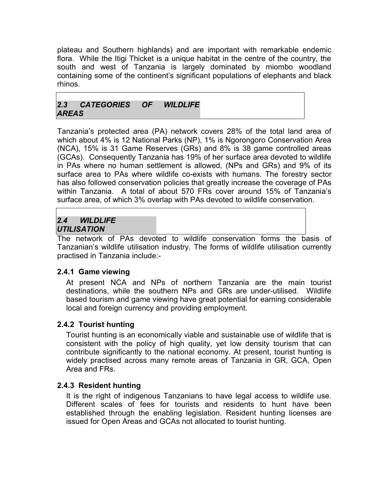plateau and Southern highlands) and are important with remarkable endemic flora. While the Itigi Thicket is a unique habitat in the centre of the country, the south and west of Tanzania is largely dominated by miombo woodland containing some of the continent's significant populations of elephants and black rhinos.

#### *2.3 CATEGORIES OF WILDLIFE AREAS*

Tanzania's protected area (PA) network covers 28% of the total land area of which about 4% is 12 National Parks (NP), 1% is Ngorongoro Conservation Area (NCA), 15% is 31 Game Reserves (GRs) and 8% is 38 game controlled areas (GCAs). Consequently Tanzania has 19% of her surface area devoted to wildlife in PAs where no human settlement is allowed, (NPs and GRs) and 9% of its surface area to PAs where wildlife co-exists with humans. The forestry sector has also followed conservation policies that greatly increase the coverage of PAs within Tanzania. A total of about 570 FRs cover around 15% of Tanzania's surface area, of which 3% overlap with PAs devoted to wildlife conservation.

#### *2.4 WILDLIFE UTILISATION*

The network of PAs devoted to wildlife conservation forms the basis of Tanzanian's wildlife utilisation industry. The forms of wildlife utilisation currently practised in Tanzania include:-

#### **2.4.1 Game viewing**

At present NCA and NPs of northern Tanzania are the main tourist destinations, while the southern NPs and GRs are under-utilised. Wildlife based tourism and game viewing have great potential for earning considerable local and foreign currency and providing employment.

#### **2.4.2 Tourist hunting**

Tourist hunting is an economically viable and sustainable use of wildlife that is consistent with the policy of high quality, yet low density tourism that can contribute significantly to the national economy. At present, tourist hunting is widely practised across many remote areas of Tanzania in GR, GCA, Open Area and FRs.

#### **2.4.3 Resident hunting**

It is the right of indigenous Tanzanians to have legal access to wildlife use. Different scales of fees for tourists and residents to hunt have been established through the enabling legislation. Resident hunting licenses are issued for Open Areas and GCAs not allocated to tourist hunting.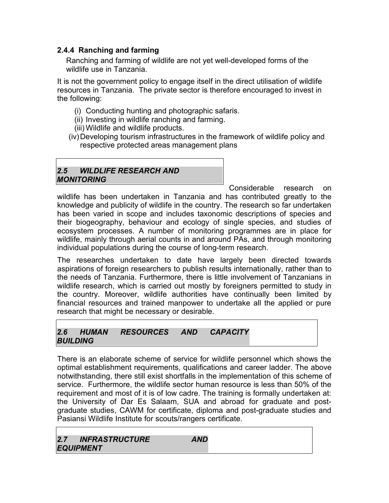#### **2.4.4 Ranching and farming**

Ranching and farming of wildlife are not yet well-developed forms of the wildlife use in Tanzania.

It is not the government policy to engage itself in the direct utilisation of wildlife resources in Tanzania. The private sector is therefore encouraged to invest in the following:

- (i) Conducting hunting and photographic safaris.
- (ii) Investing in wildlife ranching and farming.
- (iii) Wildlife and wildlife products.
- (iv)Developing tourism infrastructures in the framework of wildlife policy and respective protected areas management plans

#### *2.5 WILDLIFE RESEARCH AND MONITORING*

Considerable research on wildlife has been undertaken in Tanzania and has contributed greatly to the knowledge and publicity of wildlife in the country. The research so far undertaken has been varied in scope and includes taxonomic descriptions of species and their biogeography, behaviour and ecology of single species, and studies of ecosystem processes. A number of monitoring programmes are in place for wildlife, mainly through aerial counts in and around PAs, and through monitoring individual populations during the course of long-term research.

The researches undertaken to date have largely been directed towards aspirations of foreign researchers to publish results internationally, rather than to the needs of Tanzania. Furthermore, there is little involvement of Tanzanians in wildlife research, which is carried out mostly by foreigners permitted to study in the country. Moreover, wildlife authorities have continually been limited by financial resources and trained manpower to undertake all the applied or pure research that might be necessary or desirable.

#### *2.6 HUMAN RESOURCES AND CAPACITY BUILDING*

There is an elaborate scheme of service for wildlife personnel which shows the optimal establishment requirements, qualifications and career ladder. The above notwithstanding, there still exist shortfalls in the implementation of this scheme of service. Furthermore, the wildlife sector human resource is less than 50% of the requirement and most of it is of low cadre. The training is formally undertaken at: the University of Dar Es Salaam, SUA and abroad for graduate and postgraduate studies, CAWM for certificate, diploma and post-graduate studies and Pasiansi Wildlife Institute for scouts/rangers certificate.

| 2.7 INFRASTRUCTURE | AND |
|--------------------|-----|
| <b>EQUIPMENT</b>   |     |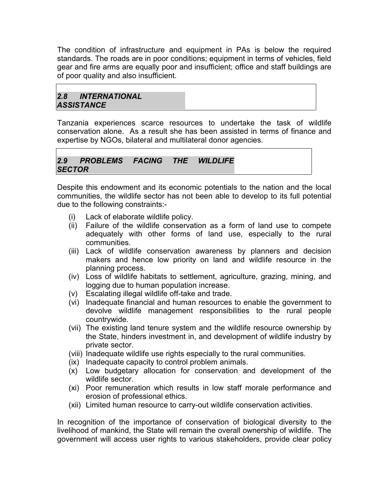The condition of infrastructure and equipment in PAs is below the required standards. The roads are in poor conditions; equipment in terms of vehicles, field gear and fire arms are equally poor and insufficient; office and staff buildings are of poor quality and also insufficient.

#### *2.8 INTERNATIONAL ASSISTANCE*

Tanzania experiences scarce resources to undertake the task of wildlife conservation alone. As a result she has been assisted in terms of finance and expertise by NGOs, bilateral and multilateral donor agencies.

#### *2.9 PROBLEMS FACING THE WILDLIFE SECTOR*

Despite this endowment and its economic potentials to the nation and the local communities, the wildlife sector has not been able to develop to its full potential due to the following constraints:-

- (i) Lack of elaborate wildlife policy.
- (ii) Failure of the wildlife conservation as a form of land use to compete adequately with other forms of land use, especially to the rural communities.
- (iii) Lack of wildlife conservation awareness by planners and decision makers and hence low priority on land and wildlife resource in the planning process.
- (iv) Loss of wildlife habitats to settlement, agriculture, grazing, mining, and logging due to human population increase.
- (v) Escalating illegal wildlife off-take and trade.
- (vi) Inadequate financial and human resources to enable the government to devolve wildlife management responsibilities to the rural people countrywide.
- (vii) The existing land tenure system and the wildlife resource ownership by the State, hinders investment in, and development of wildlife industry by private sector.
- (viii) Inadequate wildlife use rights especially to the rural communities.
- (ix) Inadequate capacity to control problem animals.
- (x) Low budgetary allocation for conservation and development of the wildlife sector.
- (xi) Poor remuneration which results in low staff morale performance and erosion of professional ethics.
- (xii) Limited human resource to carry-out wildlife conservation activities.

In recognition of the importance of conservation of biological diversity to the livelihood of mankind, the State will remain the overall ownership of wildlife. The government will access user rights to various stakeholders, provide clear policy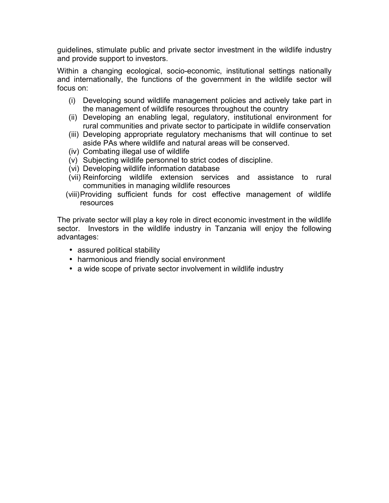guidelines, stimulate public and private sector investment in the wildlife industry and provide support to investors.

Within a changing ecological, socio-economic, institutional settings nationally and internationally, the functions of the government in the wildlife sector will focus on:

- (i) Developing sound wildlife management policies and actively take part in the management of wildlife resources throughout the country
- (ii) Developing an enabling legal, regulatory, institutional environment for rural communities and private sector to participate in wildlife conservation
- (iii) Developing appropriate regulatory mechanisms that will continue to set aside PAs where wildlife and natural areas will be conserved.
- (iv) Combating illegal use of wildlife
- (v) Subjecting wildlife personnel to strict codes of discipline.
- (vi) Developing wildlife information database
- (vii) Reinforcing wildlife extension services and assistance to rural communities in managing wildlife resources
- (viii)Providing sufficient funds for cost effective management of wildlife resources

The private sector will play a key role in direct economic investment in the wildlife sector. Investors in the wildlife industry in Tanzania will enjoy the following advantages:

- assured political stability
- harmonious and friendly social environment
- a wide scope of private sector involvement in wildlife industry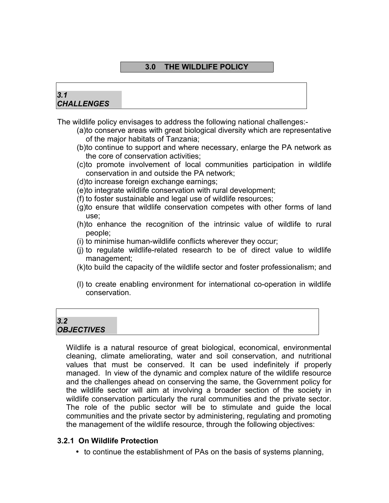#### **3.0 THE WILDLIFE POLICY**

#### *3.1 CHALLENGES*

The wildlife policy envisages to address the following national challenges:-

- (a)to conserve areas with great biological diversity which are representative of the major habitats of Tanzania;
- (b)to continue to support and where necessary, enlarge the PA network as the core of conservation activities;
- (c)to promote involvement of local communities participation in wildlife conservation in and outside the PA network;
- (d)to increase foreign exchange earnings;
- (e)to integrate wildlife conservation with rural development;
- (f) to foster sustainable and legal use of wildlife resources;
- (g)to ensure that wildlife conservation competes with other forms of land use;
- (h)to enhance the recognition of the intrinsic value of wildlife to rural people;
- (i) to minimise human-wildlife conflicts wherever they occur;
- (j) to regulate wildlife-related research to be of direct value to wildlife management;
- (k)to build the capacity of the wildlife sector and foster professionalism; and
- (l) to create enabling environment for international co-operation in wildlife conservation.

## *3.2 OBJECTIVES*

Wildlife is a natural resource of great biological, economical, environmental cleaning, climate ameliorating, water and soil conservation, and nutritional values that must be conserved. It can be used indefinitely if properly managed. In view of the dynamic and complex nature of the wildlife resource and the challenges ahead on conserving the same, the Government policy for the wildlife sector will aim at involving a broader section of the society in wildlife conservation particularly the rural communities and the private sector. The role of the public sector will be to stimulate and guide the local communities and the private sector by administering, regulating and promoting the management of the wildlife resource, through the following objectives:

#### **3.2.1 On Wildlife Protection**

• to continue the establishment of PAs on the basis of systems planning,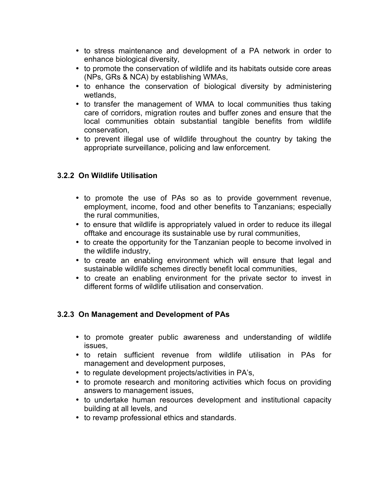- to stress maintenance and development of a PA network in order to enhance biological diversity,
- to promote the conservation of wildlife and its habitats outside core areas (NPs, GRs & NCA) by establishing WMAs,
- to enhance the conservation of biological diversity by administering wetlands,
- to transfer the management of WMA to local communities thus taking care of corridors, migration routes and buffer zones and ensure that the local communities obtain substantial tangible benefits from wildlife conservation,
- to prevent illegal use of wildlife throughout the country by taking the appropriate surveillance, policing and law enforcement.

#### **3.2.2 On Wildlife Utilisation**

- to promote the use of PAs so as to provide government revenue, employment, income, food and other benefits to Tanzanians; especially the rural communities,
- to ensure that wildlife is appropriately valued in order to reduce its illegal offtake and encourage its sustainable use by rural communities,
- to create the opportunity for the Tanzanian people to become involved in the wildlife industry,
- to create an enabling environment which will ensure that legal and sustainable wildlife schemes directly benefit local communities,
- to create an enabling environment for the private sector to invest in different forms of wildlife utilisation and conservation.

#### **3.2.3 On Management and Development of PAs**

- to promote greater public awareness and understanding of wildlife issues,
- to retain sufficient revenue from wildlife utilisation in PAs for management and development purposes,
- to regulate development projects/activities in PA's,
- to promote research and monitoring activities which focus on providing answers to management issues,
- to undertake human resources development and institutional capacity building at all levels, and
- to revamp professional ethics and standards.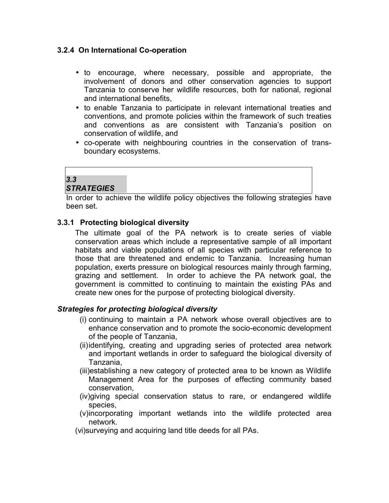#### **3.2.4 On International Co-operation**

- to encourage, where necessary, possible and appropriate, the involvement of donors and other conservation agencies to support Tanzania to conserve her wildlife resources, both for national, regional and international benefits,
- to enable Tanzania to participate in relevant international treaties and conventions, and promote policies within the framework of such treaties and conventions as are consistent with Tanzania's position on conservation of wildlife, and
- co-operate with neighbouring countries in the conservation of transboundary ecosystems.

## *3.3*

#### *STRATEGIES*

In order to achieve the wildlife policy objectives the following strategies have been set.

#### **3.3.1 Protecting biological diversity**

The ultimate goal of the PA network is to create series of viable conservation areas which include a representative sample of all important habitats and viable populations of all species with particular reference to those that are threatened and endemic to Tanzania. Increasing human population, exerts pressure on biological resources mainly through farming, grazing and settlement. In order to achieve the PA network goal, the government is committed to continuing to maintain the existing PAs and create new ones for the purpose of protecting biological diversity.

#### *Strategies for protecting biological diversity*

- (i) continuing to maintain a PA network whose overall objectives are to enhance conservation and to promote the socio-economic development of the people of Tanzania,
- (ii)identifying, creating and upgrading series of protected area network and important wetlands in order to safeguard the biological diversity of Tanzania,
- (iii)establishing a new category of protected area to be known as Wildlife Management Area for the purposes of effecting community based conservation,
- (iv)giving special conservation status to rare, or endangered wildlife species,
- (v)incorporating important wetlands into the wildlife protected area network.
- (vi)surveying and acquiring land title deeds for all PAs.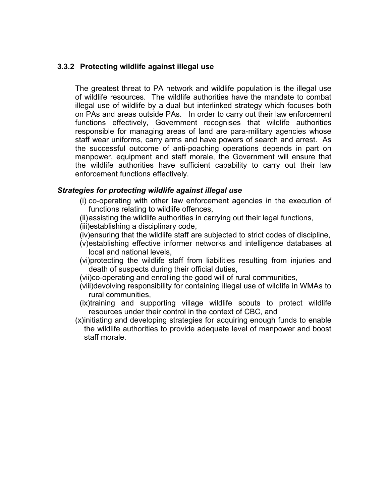#### **3.3.2 Protecting wildlife against illegal use**

The greatest threat to PA network and wildlife population is the illegal use of wildlife resources. The wildlife authorities have the mandate to combat illegal use of wildlife by a dual but interlinked strategy which focuses both on PAs and areas outside PAs. In order to carry out their law enforcement functions effectively, Government recognises that wildlife authorities responsible for managing areas of land are para-military agencies whose staff wear uniforms, carry arms and have powers of search and arrest. As the successful outcome of anti-poaching operations depends in part on manpower, equipment and staff morale, the Government will ensure that the wildlife authorities have sufficient capability to carry out their law enforcement functions effectively.

#### *Strategies for protecting wildlife against illegal use*

- (i) co-operating with other law enforcement agencies in the execution of functions relating to wildlife offences,
- (ii)assisting the wildlife authorities in carrying out their legal functions,
- (iii)establishing a disciplinary code,
- (iv)ensuring that the wildlife staff are subjected to strict codes of discipline,
- (v)establishing effective informer networks and intelligence databases at local and national levels,
- (vi)protecting the wildlife staff from liabilities resulting from injuries and death of suspects during their official duties,
- (vii)co-operating and enrolling the good will of rural communities,
- (viii)devolving responsibility for containing illegal use of wildlife in WMAs to rural communities,
- (ix)training and supporting village wildlife scouts to protect wildlife resources under their control in the context of CBC, and
- (x)initiating and developing strategies for acquiring enough funds to enable the wildlife authorities to provide adequate level of manpower and boost staff morale.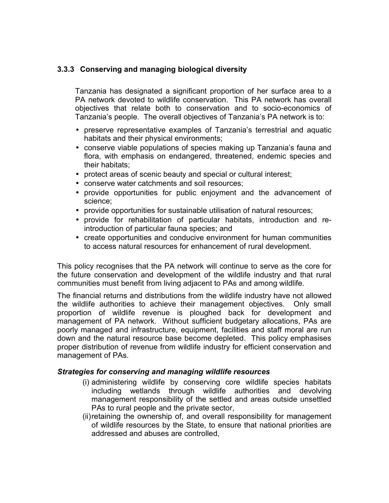#### **3.3.3 Conserving and managing biological diversity**

Tanzania has designated a significant proportion of her surface area to a PA network devoted to wildlife conservation. This PA network has overall objectives that relate both to conservation and to socio-economics of Tanzania's people. The overall objectives of Tanzania's PA network is to:

- preserve representative examples of Tanzania's terrestrial and aquatic habitats and their physical environments;
- conserve viable populations of species making up Tanzania's fauna and flora, with emphasis on endangered, threatened, endemic species and their habitats;
- protect areas of scenic beauty and special or cultural interest;
- conserve water catchments and soil resources;
- provide opportunities for public enjoyment and the advancement of science;
- provide opportunities for sustainable utilisation of natural resources;
- provide for rehabilitation of particular habitats, introduction and reintroduction of particular fauna species; and
- create opportunities and conducive environment for human communities to access natural resources for enhancement of rural development.

This policy recognises that the PA network will continue to serve as the core for the future conservation and development of the wildlife industry and that rural communities must benefit from living adjacent to PAs and among wildlife.

The financial returns and distributions from the wildlife industry have not allowed the wildlife authorities to achieve their management objectives. Only small proportion of wildlife revenue is ploughed back for development and management of PA network. Without sufficient budgetary allocations, PAs are poorly managed and infrastructure, equipment, facilities and staff moral are run down and the natural resource base become depleted. This policy emphasises proper distribution of revenue from wildlife industry for efficient conservation and management of PAs.

#### *Strategies for conserving and managing wildlife resources*

- (i) administering wildlife by conserving core wildlife species habitats including wetlands through wildlife authorities and devolving management responsibility of the settled and areas outside unsettled PAs to rural people and the private sector,
- (ii)retaining the ownership of, and overall responsibility for management of wildlife resources by the State, to ensure that national priorities are addressed and abuses are controlled,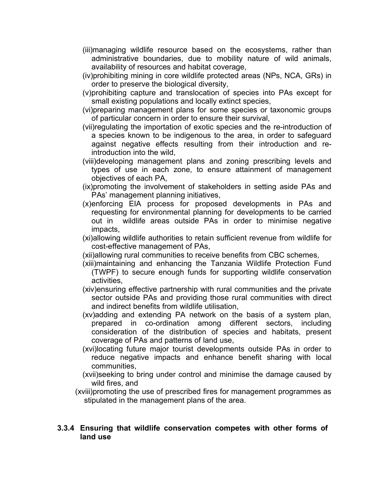- (iii)managing wildlife resource based on the ecosystems, rather than administrative boundaries, due to mobility nature of wild animals, availability of resources and habitat coverage,
- (iv)prohibiting mining in core wildlife protected areas (NPs, NCA, GRs) in order to preserve the biological diversity,
- (v)prohibiting capture and translocation of species into PAs except for small existing populations and locally extinct species,
- (vi)preparing management plans for some species or taxonomic groups of particular concern in order to ensure their survival,
- (vii)regulating the importation of exotic species and the re-introduction of a species known to be indigenous to the area, in order to safeguard against negative effects resulting from their introduction and reintroduction into the wild,
- (viii)developing management plans and zoning prescribing levels and types of use in each zone, to ensure attainment of management objectives of each PA,
- (ix)promoting the involvement of stakeholders in setting aside PAs and PAs' management planning initiatives,
- (x)enforcing EIA process for proposed developments in PAs and requesting for environmental planning for developments to be carried out in wildlife areas outside PAs in order to minimise negative impacts,
- (xi)allowing wildlife authorities to retain sufficient revenue from wildlife for cost-effective management of PAs,
- (xii)allowing rural communities to receive benefits from CBC schemes,
- (xiii)maintaining and enhancing the Tanzania Wildlife Protection Fund (TWPF) to secure enough funds for supporting wildlife conservation activities,
- (xiv)ensuring effective partnership with rural communities and the private sector outside PAs and providing those rural communities with direct and indirect benefits from wildlife utilisation,
- (xv)adding and extending PA network on the basis of a system plan, prepared in co-ordination among different sectors, including consideration of the distribution of species and habitats, present coverage of PAs and patterns of land use,
- (xvi)locating future major tourist developments outside PAs in order to reduce negative impacts and enhance benefit sharing with local communities,
- (xvii)seeking to bring under control and minimise the damage caused by wild fires, and
- (xviii)promoting the use of prescribed fires for management programmes as stipulated in the management plans of the area.

#### **3.3.4 Ensuring that wildlife conservation competes with other forms of land use**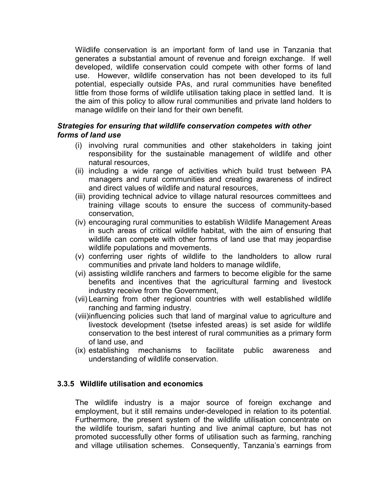Wildlife conservation is an important form of land use in Tanzania that generates a substantial amount of revenue and foreign exchange. If well developed, wildlife conservation could compete with other forms of land use. However, wildlife conservation has not been developed to its full potential, especially outside PAs, and rural communities have benefited little from those forms of wildlife utilisation taking place in settled land. It is the aim of this policy to allow rural communities and private land holders to manage wildlife on their land for their own benefit.

#### *Strategies for ensuring that wildlife conservation competes with other forms of land use*

- (i) involving rural communities and other stakeholders in taking joint responsibility for the sustainable management of wildlife and other natural resources,
- (ii) including a wide range of activities which build trust between PA managers and rural communities and creating awareness of indirect and direct values of wildlife and natural resources,
- (iii) providing technical advice to village natural resources committees and training village scouts to ensure the success of community-based conservation,
- (iv) encouraging rural communities to establish Wildlife Management Areas in such areas of critical wildlife habitat, with the aim of ensuring that wildlife can compete with other forms of land use that may jeopardise wildlife populations and movements.
- (v) conferring user rights of wildlife to the landholders to allow rural communities and private land holders to manage wildlife,
- (vi) assisting wildlife ranchers and farmers to become eligible for the same benefits and incentives that the agricultural farming and livestock industry receive from the Government,
- (vii) Learning from other regional countries with well established wildlife ranching and farming industry.
- (viii)influencing policies such that land of marginal value to agriculture and livestock development (tsetse infested areas) is set aside for wildlife conservation to the best interest of rural communities as a primary form of land use, and
- (ix) establishing mechanisms to facilitate public awareness and understanding of wildlife conservation.

#### **3.3.5 Wildlife utilisation and economics**

The wildlife industry is a major source of foreign exchange and employment, but it still remains under-developed in relation to its potential. Furthermore, the present system of the wildlife utilisation concentrate on the wildlife tourism, safari hunting and live animal capture, but has not promoted successfully other forms of utilisation such as farming, ranching and village utilisation schemes. Consequently, Tanzania's earnings from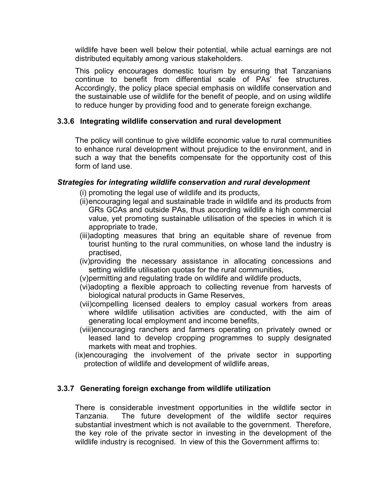wildlife have been well below their potential, while actual earnings are not distributed equitably among various stakeholders.

This policy encourages domestic tourism by ensuring that Tanzanians continue to benefit from differential scale of PAs' fee structures. Accordingly, the policy place special emphasis on wildlife conservation and the sustainable use of wildlife for the benefit of people, and on using wildlife to reduce hunger by providing food and to generate foreign exchange.

#### **3.3.6 Integrating wildlife conservation and rural development**

The policy will continue to give wildlife economic value to rural communities to enhance rural development without prejudice to the environment, and in such a way that the benefits compensate for the opportunity cost of this form of land use.

#### *Strategies for integrating wildlife conservation and rural development*

- (i) promoting the legal use of wildlife and its products,
- (ii)encouraging legal and sustainable trade in wildlife and its products from GRs GCAs and outside PAs, thus according wildlife a high commercial value, yet promoting sustainable utilisation of the species in which it is appropriate to trade,
- (iii)adopting measures that bring an equitable share of revenue from tourist hunting to the rural communities, on whose land the industry is practised,
- (iv)providing the necessary assistance in allocating concessions and setting wildlife utilisation quotas for the rural communities,
- (v)permitting and regulating trade on wildlife and wildlife products,
- (vi)adopting a flexible approach to collecting revenue from harvests of biological natural products in Game Reserves,
- (vii)compelling licensed dealers to employ casual workers from areas where wildlife utilisation activities are conducted, with the aim of generating local employment and income benefits,
- (viii)encouraging ranchers and farmers operating on privately owned or leased land to develop cropping programmes to supply designated markets with meat and trophies.
- (ix)encouraging the involvement of the private sector in supporting protection of wildlife and development of wildlife areas,

#### **3.3.7 Generating foreign exchange from wildlife utilization**

There is considerable investment opportunities in the wildlife sector in Tanzania. The future development of the wildlife sector requires substantial investment which is not available to the government. Therefore, the key role of the private sector in investing in the development of the wildlife industry is recognised. In view of this the Government affirms to: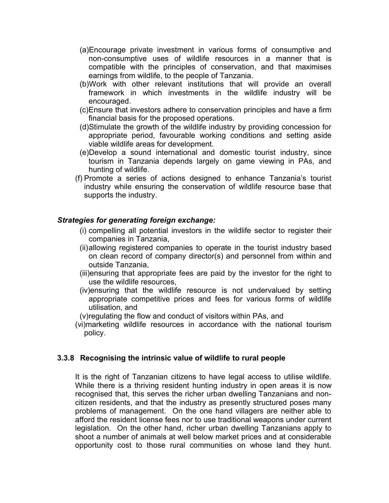- (a)Encourage private investment in various forms of consumptive and non-consumptive uses of wildlife resources in a manner that is compatible with the principles of conservation, and that maximises earnings from wildlife, to the people of Tanzania.
- (b)Work with other relevant institutions that will provide an overall framework in which investments in the wildlife industry will be encouraged.
- (c)Ensure that investors adhere to conservation principles and have a firm financial basis for the proposed operations.
- (d)Stimulate the growth of the wildlife industry by providing concession for appropriate period, favourable working conditions and setting aside viable wildlife areas for development.
- (e)Develop a sound international and domestic tourist industry, since tourism in Tanzania depends largely on game viewing in PAs, and hunting of wildlife.
- (f) Promote a series of actions designed to enhance Tanzania's tourist industry while ensuring the conservation of wildlife resource base that supports the industry.

#### *Strategies for generating foreign exchange:*

- (i) compelling all potential investors in the wildlife sector to register their companies in Tanzania,
- (ii)allowing registered companies to operate in the tourist industry based on clean record of company director(s) and personnel from within and outside Tanzania,
- (iii)ensuring that appropriate fees are paid by the investor for the right to use the wildlife resources,
- (iv)ensuring that the wildlife resource is not undervalued by setting appropriate competitive prices and fees for various forms of wildlife utilisation, and
- (v)regulating the flow and conduct of visitors within PAs, and
- (vi)marketing wildlife resources in accordance with the national tourism policy.

#### **3.3.8 Recognising the intrinsic value of wildlife to rural people**

It is the right of Tanzanian citizens to have legal access to utilise wildlife. While there is a thriving resident hunting industry in open areas it is now recognised that, this serves the richer urban dwelling Tanzanians and noncitizen residents, and that the industry as presently structured poses many problems of management. On the one hand villagers are neither able to afford the resident license fees nor to use traditional weapons under current legislation. On the other hand, richer urban dwelling Tanzanians apply to shoot a number of animals at well below market prices and at considerable opportunity cost to those rural communities on whose land they hunt.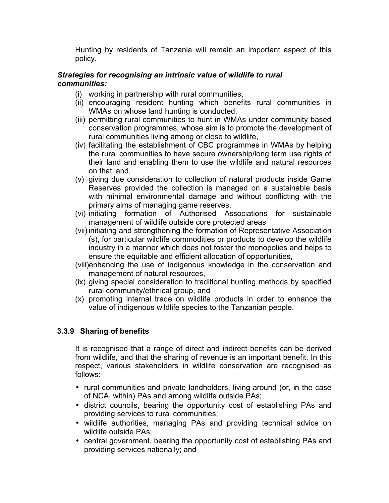Hunting by residents of Tanzania will remain an important aspect of this policy.

#### *Strategies for recognising an intrinsic value of wildlife to rural communities:*

- (i) working in partnership with rural communities,
- (ii) encouraging resident hunting which benefits rural communities in WMAs on whose land hunting is conducted,
- (iii) permitting rural communities to hunt in WMAs under community based conservation programmes, whose aim is to promote the development of rural communities living among or close to wildlife,
- (iv) facilitating the establishment of CBC programmes in WMAs by helping the rural communities to have secure ownership/long term use rights of their land and enabling them to use the wildlife and natural resources on that land,
- (v) giving due consideration to collection of natural products inside Game Reserves provided the collection is managed on a sustainable basis with minimal environmental damage and without conflicting with the primary aims of managing game reserves,
- (vi) initiating formation of Authorised Associations for sustainable management of wildlife outside core protected areas
- (vii) initiating and strengthening the formation of Representative Association (s), for particular wildlife commodities or products to develop the wildlife industry in a manner which does not foster the monopolies and helps to ensure the equitable and efficient allocation of opportunities,
- (viii)enhancing the use of indigenous knowledge in the conservation and management of natural resources,
- (ix) giving special consideration to traditional hunting methods by specified rural community/ethnical group, and
- (x) promoting internal trade on wildlife products in order to enhance the value of indigenous wildlife species to the Tanzanian people.

#### **3.3.9 Sharing of benefits**

It is recognised that a range of direct and indirect benefits can be derived from wildlife, and that the sharing of revenue is an important benefit. In this respect, various stakeholders in wildlife conservation are recognised as follows:

- rural communities and private landholders, living around (or, in the case of NCA, within) PAs and among wildlife outside PAs;
- district councils, bearing the opportunity cost of establishing PAs and providing services to rural communities;
- wildlife authorities, managing PAs and providing technical advice on wildlife outside PAs;
- central government, bearing the opportunity cost of establishing PAs and providing services nationally; and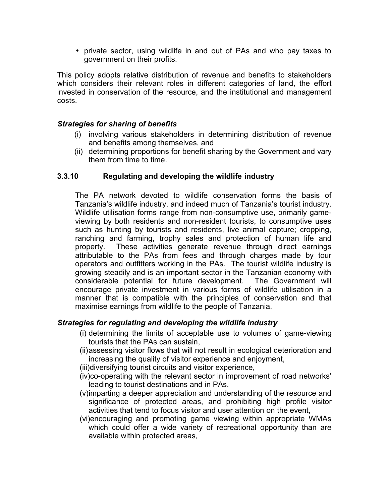• private sector, using wildlife in and out of PAs and who pay taxes to government on their profits.

This policy adopts relative distribution of revenue and benefits to stakeholders which considers their relevant roles in different categories of land, the effort invested in conservation of the resource, and the institutional and management costs.

#### *Strategies for sharing of benefits*

- (i) involving various stakeholders in determining distribution of revenue and benefits among themselves, and
- (ii) determining proportions for benefit sharing by the Government and vary them from time to time.

#### **3.3.10 Regulating and developing the wildlife industry**

The PA network devoted to wildlife conservation forms the basis of Tanzania's wildlife industry, and indeed much of Tanzania's tourist industry. Wildlife utilisation forms range from non-consumptive use, primarily gameviewing by both residents and non-resident tourists, to consumptive uses such as hunting by tourists and residents, live animal capture; cropping, ranching and farming, trophy sales and protection of human life and property. These activities generate revenue through direct earnings attributable to the PAs from fees and through charges made by tour operators and outfitters working in the PAs. The tourist wildlife industry is growing steadily and is an important sector in the Tanzanian economy with considerable potential for future development. The Government will encourage private investment in various forms of wildlife utilisation in a manner that is compatible with the principles of conservation and that maximise earnings from wildlife to the people of Tanzania.

#### *Strategies for regulating and developing the wildlife industry*

- (i) determining the limits of acceptable use to volumes of game-viewing tourists that the PAs can sustain,
- (ii)assessing visitor flows that will not result in ecological deterioration and increasing the quality of visitor experience and enjoyment,
- (iii)diversifying tourist circuits and visitor experience,
- (iv)co-operating with the relevant sector in improvement of road networks' leading to tourist destinations and in PAs.
- (v)imparting a deeper appreciation and understanding of the resource and significance of protected areas, and prohibiting high profile visitor activities that tend to focus visitor and user attention on the event,
- (vi)encouraging and promoting game viewing within appropriate WMAs which could offer a wide variety of recreational opportunity than are available within protected areas,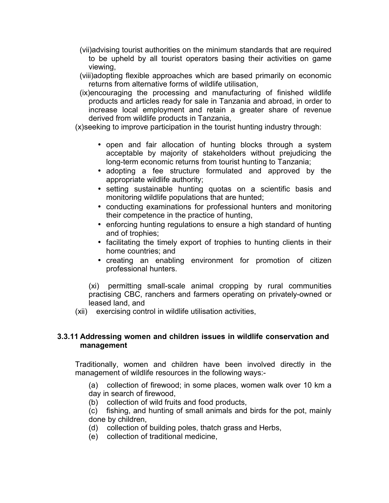- (vii)advising tourist authorities on the minimum standards that are required to be upheld by all tourist operators basing their activities on game viewing,
- (viii)adopting flexible approaches which are based primarily on economic returns from alternative forms of wildlife utilisation,
- (ix)encouraging the processing and manufacturing of finished wildlife products and articles ready for sale in Tanzania and abroad, in order to increase local employment and retain a greater share of revenue derived from wildlife products in Tanzania,

(x)seeking to improve participation in the tourist hunting industry through:

- open and fair allocation of hunting blocks through a system acceptable by majority of stakeholders without prejudicing the long-term economic returns from tourist hunting to Tanzania;
- adopting a fee structure formulated and approved by the appropriate wildlife authority;
- setting sustainable hunting quotas on a scientific basis and monitoring wildlife populations that are hunted;
- conducting examinations for professional hunters and monitoring their competence in the practice of hunting,
- enforcing hunting regulations to ensure a high standard of hunting and of trophies;
- facilitating the timely export of trophies to hunting clients in their home countries; and
- creating an enabling environment for promotion of citizen professional hunters.

(xi) permitting small-scale animal cropping by rural communities practising CBC, ranchers and farmers operating on privately-owned or leased land, and

(xii) exercising control in wildlife utilisation activities,

#### **3.3.11 Addressing women and children issues in wildlife conservation and management**

Traditionally, women and children have been involved directly in the management of wildlife resources in the following ways:-

(a) collection of firewood; in some places, women walk over 10 km a day in search of firewood,

- (b) collection of wild fruits and food products,
- (c) fishing, and hunting of small animals and birds for the pot, mainly done by children,
- (d) collection of building poles, thatch grass and Herbs,
- (e) collection of traditional medicine,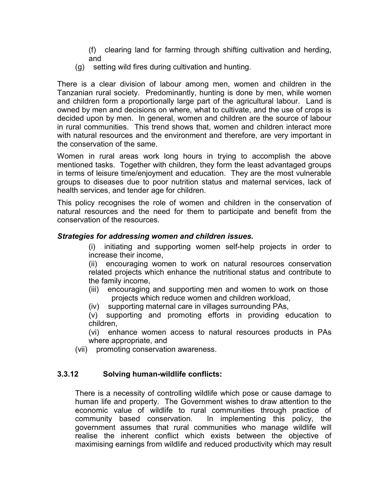(f) clearing land for farming through shifting cultivation and herding, and

(g) setting wild fires during cultivation and hunting.

There is a clear division of labour among men, women and children in the Tanzanian rural society. Predominantly, hunting is done by men, while women and children form a proportionally large part of the agricultural labour. Land is owned by men and decisions on where, what to cultivate, and the use of crops is decided upon by men. In general, women and children are the source of labour in rural communities. This trend shows that, women and children interact more with natural resources and the environment and therefore, are very important in the conservation of the same.

Women in rural areas work long hours in trying to accomplish the above mentioned tasks. Together with children, they form the least advantaged groups in terms of leisure time/enjoyment and education. They are the most vulnerable groups to diseases due to poor nutrition status and maternal services, lack of health services, and tender age for children.

This policy recognises the role of women and children in the conservation of natural resources and the need for them to participate and benefit from the conservation of the resources.

#### *Strategies for addressing women and children issues.*

(i) initiating and supporting women self-help projects in order to increase their income,

(ii) encouraging women to work on natural resources conservation related projects which enhance the nutritional status and contribute to the family income,

- (iii) encouraging and supporting men and women to work on those projects which reduce women and children workload,
- (iv) supporting maternal care in villages surrounding PAs,

(v) supporting and promoting efforts in providing education to children,

(vi) enhance women access to natural resources products in PAs where appropriate, and

(vii) promoting conservation awareness.

#### **3.3.12 Solving human-wildlife conflicts:**

There is a necessity of controlling wildlife which pose or cause damage to human life and property. The Government wishes to draw attention to the economic value of wildlife to rural communities through practice of community based conservation. In implementing this policy, the government assumes that rural communities who manage wildlife will realise the inherent conflict which exists between the objective of maximising earnings from wildlife and reduced productivity which may result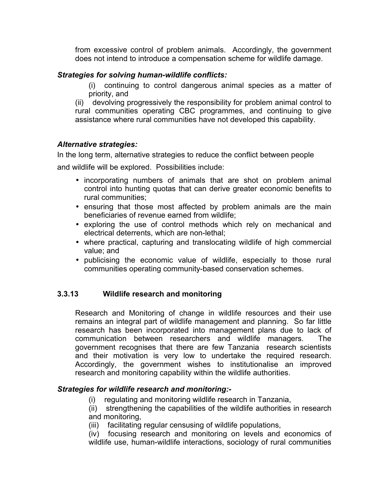from excessive control of problem animals. Accordingly, the government does not intend to introduce a compensation scheme for wildlife damage.

#### *Strategies for solving human-wildlife conflicts:*

(i) continuing to control dangerous animal species as a matter of priority, and

(ii) devolving progressively the responsibility for problem animal control to rural communities operating CBC programmes, and continuing to give assistance where rural communities have not developed this capability.

#### *Alternative strategies:*

In the long term, alternative strategies to reduce the conflict between people

and wildlife will be explored. Possibilities include:

- incorporating numbers of animals that are shot on problem animal control into hunting quotas that can derive greater economic benefits to rural communities;
- ensuring that those most affected by problem animals are the main beneficiaries of revenue earned from wildlife;
- exploring the use of control methods which rely on mechanical and electrical deterrents, which are non-lethal;
- where practical, capturing and translocating wildlife of high commercial value; and
- publicising the economic value of wildlife, especially to those rural communities operating community-based conservation schemes.

#### **3.3.13 Wildlife research and monitoring**

Research and Monitoring of change in wildlife resources and their use remains an integral part of wildlife management and planning. So far little research has been incorporated into management plans due to lack of communication between researchers and wildlife managers. The government recognises that there are few Tanzania research scientists and their motivation is very low to undertake the required research. Accordingly, the government wishes to institutionalise an improved research and monitoring capability within the wildlife authorities.

#### *Strategies for wildlife research and monitoring:-*

(i) regulating and monitoring wildlife research in Tanzania,

(ii) strengthening the capabilities of the wildlife authorities in research and monitoring,

(iii) facilitating regular censusing of wildlife populations,

(iv) focusing research and monitoring on levels and economics of wildlife use, human-wildlife interactions, sociology of rural communities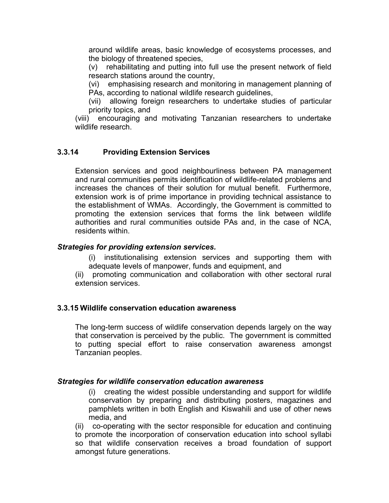around wildlife areas, basic knowledge of ecosystems processes, and the biology of threatened species,

(v) rehabilitating and putting into full use the present network of field research stations around the country,

(vi) emphasising research and monitoring in management planning of PAs, according to national wildlife research guidelines,

(vii) allowing foreign researchers to undertake studies of particular priority topics, and

(viii) encouraging and motivating Tanzanian researchers to undertake wildlife research.

#### **3.3.14 Providing Extension Services**

Extension services and good neighbourliness between PA management and rural communities permits identification of wildlife-related problems and increases the chances of their solution for mutual benefit. Furthermore, extension work is of prime importance in providing technical assistance to the establishment of WMAs. Accordingly, the Government is committed to promoting the extension services that forms the link between wildlife authorities and rural communities outside PAs and, in the case of NCA, residents within.

#### *Strategies for providing extension services.*

- (i) institutionalising extension services and supporting them with adequate levels of manpower, funds and equipment, and
- (ii) promoting communication and collaboration with other sectoral rural extension services.

#### **3.3.15 Wildlife conservation education awareness**

The long-term success of wildlife conservation depends largely on the way that conservation is perceived by the public. The government is committed to putting special effort to raise conservation awareness amongst Tanzanian peoples.

#### *Strategies for wildlife conservation education awareness*

(i) creating the widest possible understanding and support for wildlife conservation by preparing and distributing posters, magazines and pamphlets written in both English and Kiswahili and use of other news media, and

(ii) co-operating with the sector responsible for education and continuing to promote the incorporation of conservation education into school syllabi so that wildlife conservation receives a broad foundation of support amongst future generations.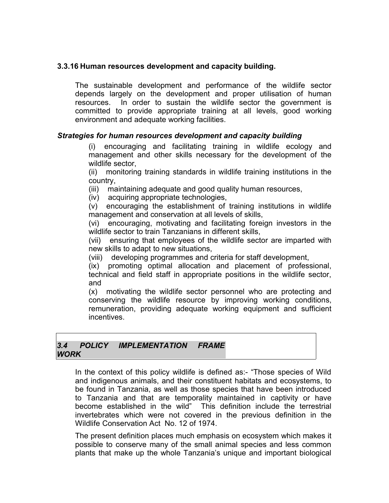#### **3.3.16 Human resources development and capacity building.**

The sustainable development and performance of the wildlife sector depends largely on the development and proper utilisation of human resources. In order to sustain the wildlife sector the government is committed to provide appropriate training at all levels, good working environment and adequate working facilities.

#### *Strategies for human resources development and capacity building*

(i) encouraging and facilitating training in wildlife ecology and management and other skills necessary for the development of the wildlife sector,

(ii) monitoring training standards in wildlife training institutions in the country,

(iii) maintaining adequate and good quality human resources,

(iv) acquiring appropriate technologies,

(v) encouraging the establishment of training institutions in wildlife management and conservation at all levels of skills,

(vi) encouraging, motivating and facilitating foreign investors in the wildlife sector to train Tanzanians in different skills,

(vii) ensuring that employees of the wildlife sector are imparted with new skills to adapt to new situations,

(viii) developing programmes and criteria for staff development,

(ix) promoting optimal allocation and placement of professional, technical and field staff in appropriate positions in the wildlife sector, and

(x) motivating the wildlife sector personnel who are protecting and conserving the wildlife resource by improving working conditions, remuneration, providing adequate working equipment and sufficient incentives.

#### *3.4 POLICY IMPLEMENTATION FRAME WORK*

In the context of this policy wildlife is defined as:- "Those species of Wild and indigenous animals, and their constituent habitats and ecosystems, to be found in Tanzania, as well as those species that have been introduced to Tanzania and that are temporality maintained in captivity or have become established in the wild" This definition include the terrestrial invertebrates which were not covered in the previous definition in the Wildlife Conservation Act No. 12 of 1974.

The present definition places much emphasis on ecosystem which makes it possible to conserve many of the small animal species and less common plants that make up the whole Tanzania's unique and important biological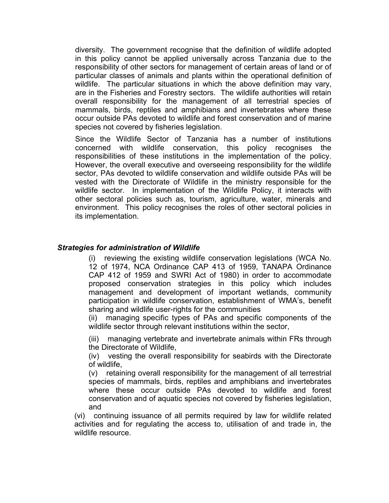diversity. The government recognise that the definition of wildlife adopted in this policy cannot be applied universally across Tanzania due to the responsibility of other sectors for management of certain areas of land or of particular classes of animals and plants within the operational definition of wildlife. The particular situations in which the above definition may vary, are in the Fisheries and Forestry sectors. The wildlife authorities will retain overall responsibility for the management of all terrestrial species of mammals, birds, reptiles and amphibians and invertebrates where these occur outside PAs devoted to wildlife and forest conservation and of marine species not covered by fisheries legislation.

Since the Wildlife Sector of Tanzania has a number of institutions concerned with wildlife conservation, this policy recognises the responsibilities of these institutions in the implementation of the policy. However, the overall executive and overseeing responsibility for the wildlife sector, PAs devoted to wildlife conservation and wildlife outside PAs will be vested with the Directorate of Wildlife in the ministry responsible for the wildlife sector. In implementation of the Wildlife Policy, it interacts with other sectoral policies such as, tourism, agriculture, water, minerals and environment. This policy recognises the roles of other sectoral policies in its implementation.

#### *Strategies for administration of Wildlife*

(i) reviewing the existing wildlife conservation legislations (WCA No. 12 of 1974, NCA Ordinance CAP 413 of 1959, TANAPA Ordinance CAP 412 of 1959 and SWRI Act of 1980) in order to accommodate proposed conservation strategies in this policy which includes management and development of important wetlands, community participation in wildlife conservation, establishment of WMA's, benefit sharing and wildlife user-rights for the communities

(ii) managing specific types of PAs and specific components of the wildlife sector through relevant institutions within the sector,

(iii) managing vertebrate and invertebrate animals within FRs through the Directorate of Wildlife,

(iv) vesting the overall responsibility for seabirds with the Directorate of wildlife,

(v) retaining overall responsibility for the management of all terrestrial species of mammals, birds, reptiles and amphibians and invertebrates where these occur outside PAs devoted to wildlife and forest conservation and of aquatic species not covered by fisheries legislation, and

(vi) continuing issuance of all permits required by law for wildlife related activities and for regulating the access to, utilisation of and trade in, the wildlife resource.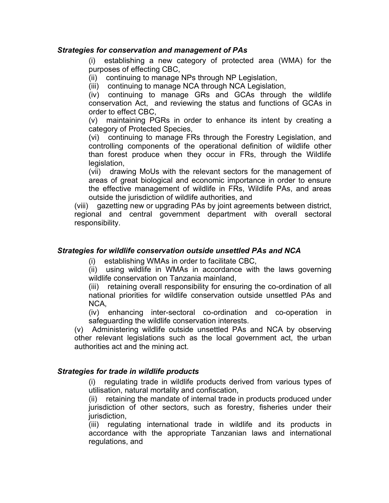#### *Strategies for conservation and management of PAs*

(i) establishing a new category of protected area (WMA) for the purposes of effecting CBC,

(ii) continuing to manage NPs through NP Legislation,

(iii) continuing to manage NCA through NCA Legislation,

(iv) continuing to manage GRs and GCAs through the wildlife conservation Act, and reviewing the status and functions of GCAs in order to effect CBC,

(v) maintaining PGRs in order to enhance its intent by creating a category of Protected Species,

(vi) continuing to manage FRs through the Forestry Legislation, and controlling components of the operational definition of wildlife other than forest produce when they occur in FRs, through the Wildlife legislation,

(vii) drawing MoUs with the relevant sectors for the management of areas of great biological and economic importance in order to ensure the effective management of wildlife in FRs, Wildlife PAs, and areas outside the jurisdiction of wildlife authorities, and

(viii) gazetting new or upgrading PAs by joint agreements between district, regional and central government department with overall sectoral responsibility.

#### *Strategies for wildlife conservation outside unsettled PAs and NCA*

(i) establishing WMAs in order to facilitate CBC,

(ii) using wildlife in WMAs in accordance with the laws governing wildlife conservation on Tanzania mainland,

(iii) retaining overall responsibility for ensuring the co-ordination of all national priorities for wildlife conservation outside unsettled PAs and NCA,

(iv) enhancing inter-sectoral co-ordination and co-operation in safeguarding the wildlife conservation interests.

(v) Administering wildlife outside unsettled PAs and NCA by observing other relevant legislations such as the local government act, the urban authorities act and the mining act.

#### *Strategies for trade in wildlife products*

(i) regulating trade in wildlife products derived from various types of utilisation, natural mortality and confiscation,

(ii) retaining the mandate of internal trade in products produced under jurisdiction of other sectors, such as forestry, fisheries under their jurisdiction,

(iii) regulating international trade in wildlife and its products in accordance with the appropriate Tanzanian laws and international regulations, and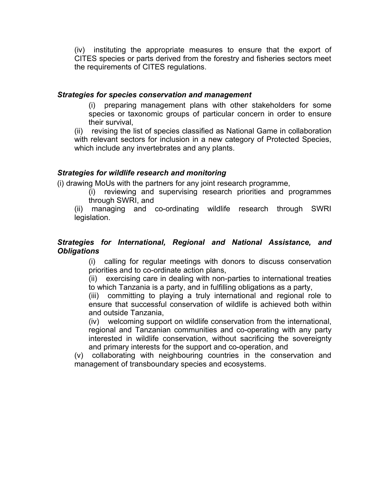(iv) instituting the appropriate measures to ensure that the export of CITES species or parts derived from the forestry and fisheries sectors meet the requirements of CITES regulations.

#### *Strategies for species conservation and management*

(i) preparing management plans with other stakeholders for some species or taxonomic groups of particular concern in order to ensure their survival,

(ii) revising the list of species classified as National Game in collaboration with relevant sectors for inclusion in a new category of Protected Species, which include any invertebrates and any plants.

#### *Strategies for wildlife research and monitoring*

(i) drawing MoUs with the partners for any joint research programme,

(i) reviewing and supervising research priorities and programmes through SWRI, and

(ii) managing and co-ordinating wildlife research through SWRI legislation.

#### *Strategies for International, Regional and National Assistance, and Obligations*

(i) calling for regular meetings with donors to discuss conservation priorities and to co-ordinate action plans,

(ii) exercising care in dealing with non-parties to international treaties to which Tanzania is a party, and in fulfilling obligations as a party,

(iii) committing to playing a truly international and regional role to ensure that successful conservation of wildlife is achieved both within and outside Tanzania,

(iv) welcoming support on wildlife conservation from the international, regional and Tanzanian communities and co-operating with any party interested in wildlife conservation, without sacrificing the sovereignty and primary interests for the support and co-operation, and

(v) collaborating with neighbouring countries in the conservation and management of transboundary species and ecosystems.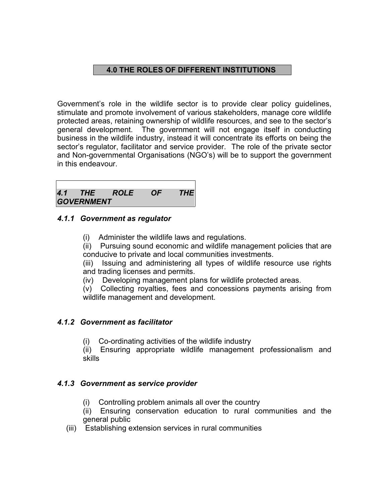#### **4.0 THE ROLES OF DIFFERENT INSTITUTIONS**

Government's role in the wildlife sector is to provide clear policy guidelines, stimulate and promote involvement of various stakeholders, manage core wildlife protected areas, retaining ownership of wildlife resources, and see to the sector's general development. The government will not engage itself in conducting business in the wildlife industry, instead it will concentrate its efforts on being the sector's regulator, facilitator and service provider. The role of the private sector and Non-governmental Organisations (NGO's) will be to support the government in this endeavour.

|                   | 4.1 THE ROLE OF THE |  |
|-------------------|---------------------|--|
| <b>GOVERNMENT</b> |                     |  |

#### *4.1.1 Government as regulator*

(i) Administer the wildlife laws and regulations.

(ii) Pursuing sound economic and wildlife management policies that are conducive to private and local communities investments.

(iii) Issuing and administering all types of wildlife resource use rights and trading licenses and permits.

(iv) Developing management plans for wildlife protected areas.

(v) Collecting royalties, fees and concessions payments arising from wildlife management and development.

#### *4.1.2 Government as facilitator*

(i) Co-ordinating activities of the wildlife industry

(ii) Ensuring appropriate wildlife management professionalism and skills

#### *4.1.3 Government as service provider*

(i) Controlling problem animals all over the country

(ii) Ensuring conservation education to rural communities and the general public

(iii) Establishing extension services in rural communities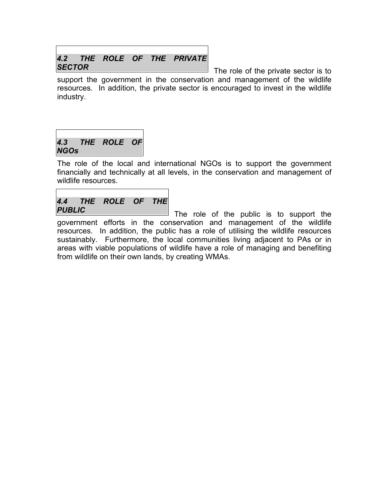#### *4.2 THE ROLE OF THE PRIVATE SECTOR*

The role of the private sector is to support the government in the conservation and management of the wildlife resources. In addition, the private sector is encouraged to invest in the wildlife industry.

## *4.3 THE ROLE OF NGOs*

Ē

The role of the local and international NGOs is to support the government financially and technically at all levels, in the conservation and management of wildlife resources.

|               | 4.4 THE ROLE OF THE |  |
|---------------|---------------------|--|
| <b>PUBLIC</b> |                     |  |

The role of the public is to support the government efforts in the conservation and management of the wildlife resources. In addition, the public has a role of utilising the wildlife resources sustainably. Furthermore, the local communities living adjacent to PAs or in areas with viable populations of wildlife have a role of managing and benefiting from wildlife on their own lands, by creating WMAs.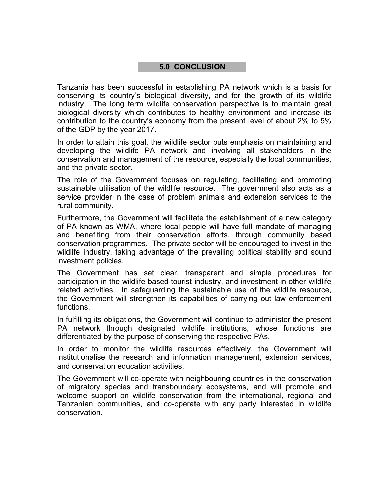#### **5.0 CONCLUSION**

Tanzania has been successful in establishing PA network which is a basis for conserving its country's biological diversity, and for the growth of its wildlife industry. The long term wildlife conservation perspective is to maintain great biological diversity which contributes to healthy environment and increase its contribution to the country's economy from the present level of about 2% to 5% of the GDP by the year 2017.

In order to attain this goal, the wildlife sector puts emphasis on maintaining and developing the wildlife PA network and involving all stakeholders in the conservation and management of the resource, especially the local communities, and the private sector.

The role of the Government focuses on regulating, facilitating and promoting sustainable utilisation of the wildlife resource. The government also acts as a service provider in the case of problem animals and extension services to the rural community.

Furthermore, the Government will facilitate the establishment of a new category of PA known as WMA, where local people will have full mandate of managing and benefiting from their conservation efforts, through community based conservation programmes. The private sector will be encouraged to invest in the wildlife industry, taking advantage of the prevailing political stability and sound investment policies.

The Government has set clear, transparent and simple procedures for participation in the wildlife based tourist industry, and investment in other wildlife related activities. In safeguarding the sustainable use of the wildlife resource, the Government will strengthen its capabilities of carrying out law enforcement functions.

In fulfilling its obligations, the Government will continue to administer the present PA network through designated wildlife institutions, whose functions are differentiated by the purpose of conserving the respective PAs.

In order to monitor the wildlife resources effectively, the Government will institutionalise the research and information management, extension services, and conservation education activities.

The Government will co-operate with neighbouring countries in the conservation of migratory species and transboundary ecosystems, and will promote and welcome support on wildlife conservation from the international, regional and Tanzanian communities, and co-operate with any party interested in wildlife conservation.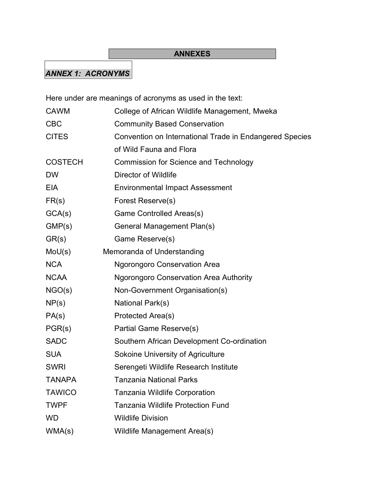## **ANNEXES**

## *ANNEX 1: ACRONYMS*

Here under are meanings of acronyms as used in the text:

| <b>CAWM</b>    | College of African Wildlife Management, Mweka           |
|----------------|---------------------------------------------------------|
| <b>CBC</b>     | <b>Community Based Conservation</b>                     |
| <b>CITES</b>   | Convention on International Trade in Endangered Species |
|                | of Wild Fauna and Flora                                 |
| <b>COSTECH</b> | <b>Commission for Science and Technology</b>            |
| <b>DW</b>      | <b>Director of Wildlife</b>                             |
| <b>EIA</b>     | <b>Environmental Impact Assessment</b>                  |
| FR(s)          | Forest Reserve(s)                                       |
| GCA(s)         | Game Controlled Areas(s)                                |
| GMP(s)         | General Management Plan(s)                              |
| GR(s)          | Game Reserve(s)                                         |
| $M_0U(s)$      | Memoranda of Understanding                              |
| <b>NCA</b>     | <b>Ngorongoro Conservation Area</b>                     |
| <b>NCAA</b>    | <b>Ngorongoro Conservation Area Authority</b>           |
| NGO(s)         | Non-Government Organisation(s)                          |
| NP(s)          | National Park(s)                                        |
| PA(s)          | Protected Area(s)                                       |
| PGR(s)         | <b>Partial Game Reserve(s)</b>                          |
| <b>SADC</b>    | Southern African Development Co-ordination              |
| <b>SUA</b>     | Sokoine University of Agriculture                       |
| <b>SWRI</b>    | Serengeti Wildlife Research Institute                   |
| <b>TANAPA</b>  | <b>Tanzania National Parks</b>                          |
| <b>TAWICO</b>  | <b>Tanzania Wildlife Corporation</b>                    |
| <b>TWPF</b>    | <b>Tanzania Wildlife Protection Fund</b>                |
| <b>WD</b>      | <b>Wildlife Division</b>                                |
| WMA(s)         | Wildlife Management Area(s)                             |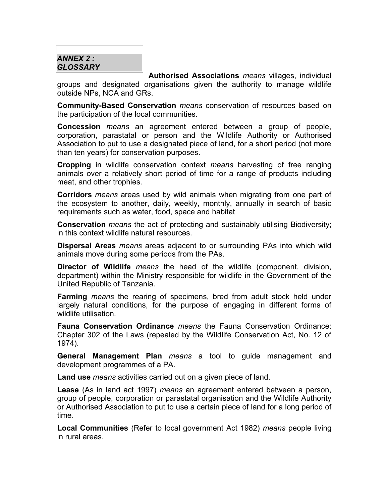### *ANNEX 2 : GLOSSARY*

**Authorised Associations** *means* villages, individual groups and designated organisations given the authority to manage wildlife outside NPs, NCA and GRs.

**Community-Based Conservation** *means* conservation of resources based on the participation of the local communities.

**Concession** *means* an agreement entered between a group of people, corporation, parastatal or person and the Wildlife Authority or Authorised Association to put to use a designated piece of land, for a short period (not more than ten years) for conservation purposes.

**Cropping** in wildlife conservation context *means* harvesting of free ranging animals over a relatively short period of time for a range of products including meat, and other trophies.

**Corridors** *means* areas used by wild animals when migrating from one part of the ecosystem to another, daily, weekly, monthly, annually in search of basic requirements such as water, food, space and habitat

**Conservation** *means* the act of protecting and sustainably utilising Biodiversity; in this context wildlife natural resources.

**Dispersal Areas** *means* areas adjacent to or surrounding PAs into which wild animals move during some periods from the PAs.

**Director of Wildlife** *means* the head of the wildlife (component, division, department) within the Ministry responsible for wildlife in the Government of the United Republic of Tanzania.

**Farming** *means* the rearing of specimens, bred from adult stock held under largely natural conditions, for the purpose of engaging in different forms of wildlife utilisation.

**Fauna Conservation Ordinance** *means* the Fauna Conservation Ordinance: Chapter 302 of the Laws (repealed by the Wildlife Conservation Act, No. 12 of 1974).

**General Management Plan** *means* a tool to guide management and development programmes of a PA.

**Land use** *means* activities carried out on a given piece of land.

**Lease** (As in land act 1997) *means* an agreement entered between a person, group of people, corporation or parastatal organisation and the Wildlife Authority or Authorised Association to put to use a certain piece of land for a long period of time.

**Local Communities** (Refer to local government Act 1982) *means* people living in rural areas.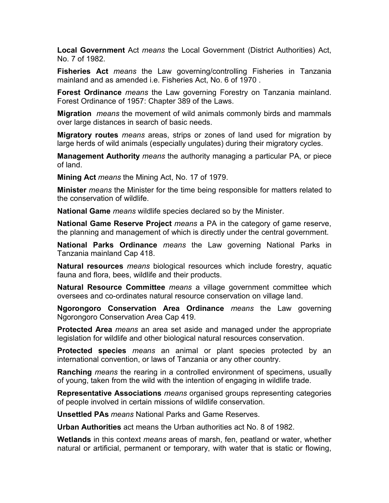**Local Government** Act *means* the Local Government (District Authorities) Act, No. 7 of 1982.

**Fisheries Act** *means* the Law governing/controlling Fisheries in Tanzania mainland and as amended i.e. Fisheries Act, No. 6 of 1970 .

**Forest Ordinance** *means* the Law governing Forestry on Tanzania mainland. Forest Ordinance of 1957: Chapter 389 of the Laws.

**Migration** *means* the movement of wild animals commonly birds and mammals over large distances in search of basic needs.

**Migratory routes** *means* areas, strips or zones of land used for migration by large herds of wild animals (especially ungulates) during their migratory cycles.

**Management Authority** *means* the authority managing a particular PA, or piece of land.

**Mining Act** *means* the Mining Act, No. 17 of 1979.

**Minister** *means* the Minister for the time being responsible for matters related to the conservation of wildlife.

**National Game** *means* wildlife species declared so by the Minister.

**National Game Reserve Project** *means* a PA in the category of game reserve, the planning and management of which is directly under the central government.

**National Parks Ordinance** *means* the Law governing National Parks in Tanzania mainland Cap 418.

**Natural resources** *means* biological resources which include forestry, aquatic fauna and flora, bees, wildlife and their products.

**Natural Resource Committee** *means* a village government committee which oversees and co-ordinates natural resource conservation on village land.

**Ngorongoro Conservation Area Ordinance** *means* the Law governing Ngorongoro Conservation Area Cap 419.

**Protected Area** *means* an area set aside and managed under the appropriate legislation for wildlife and other biological natural resources conservation.

**Protected species** *means* an animal or plant species protected by an international convention, or laws of Tanzania or any other country.

**Ranching** *means* the rearing in a controlled environment of specimens, usually of young, taken from the wild with the intention of engaging in wildlife trade.

**Representative Associations** *means* organised groups representing categories of people involved in certain missions of wildlife conservation.

**Unsettled PAs** *means* National Parks and Game Reserves.

**Urban Authorities** act means the Urban authorities act No. 8 of 1982.

**Wetlands** in this context *means* areas of marsh, fen, peatland or water, whether natural or artificial, permanent or temporary, with water that is static or flowing,